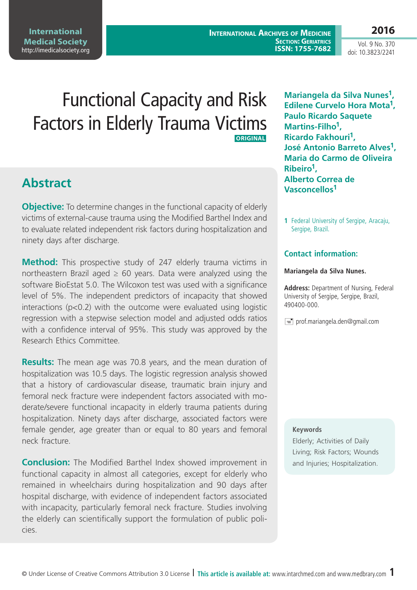**International Archives of Medicine SECTION: GERIATRICS ISSN: 1755-7682** **2016**

Vol. 9 No. 370 doi: 10.3823/2241

# Functional Capacity and Risk Factors in Elderly Trauma Victims **ORIGINAL**

## **Abstract**

**Objective:** To determine changes in the functional capacity of elderly victims of external-cause trauma using the Modified Barthel Index and to evaluate related independent risk factors during hospitalization and ninety days after discharge.

**Method:** This prospective study of 247 elderly trauma victims in northeastern Brazil aged  $\geq 60$  years. Data were analyzed using the software BioEstat 5.0. The Wilcoxon test was used with a significance level of 5%. The independent predictors of incapacity that showed interactions (p<0.2) with the outcome were evaluated using logistic regression with a stepwise selection model and adjusted odds ratios with a confidence interval of 95%. This study was approved by the Research Ethics Committee.

**Results:** The mean age was 70.8 years, and the mean duration of hospitalization was 10.5 days. The logistic regression analysis showed that a history of cardiovascular disease, traumatic brain injury and femoral neck fracture were independent factors associated with moderate/severe functional incapacity in elderly trauma patients during hospitalization. Ninety days after discharge, associated factors were female gender, age greater than or equal to 80 years and femoral neck fracture.

**Conclusion:** The Modified Barthel Index showed improvement in functional capacity in almost all categories, except for elderly who remained in wheelchairs during hospitalization and 90 days after hospital discharge, with evidence of independent factors associated with incapacity, particularly femoral neck fracture. Studies involving the elderly can scientifically support the formulation of public policies.

**Mariangela da Silva Nunes1, Edilene Curvelo Hora Mota1, Paulo Ricardo Saquete Martins-Filho1, Ricardo Fakhouri1, José Antonio Barreto Alves1, Maria do Carmo de Oliveira Ribeiro1, Alberto Correa de Vasconcellos1**

**1** Federal University of Sergipe, Aracaju, Sergipe, Brazil.

### **Contact information:**

#### **Mariangela da Silva Nunes.**

**Address:** Department of Nursing, Federal University of Sergipe, Sergipe, Brazil, 490400-000.

 $\equiv$  prof.mariangela.den@gmail.com

#### **Keywords**

Elderly; Activities of Daily Living; Risk Factors; Wounds and Injuries; Hospitalization.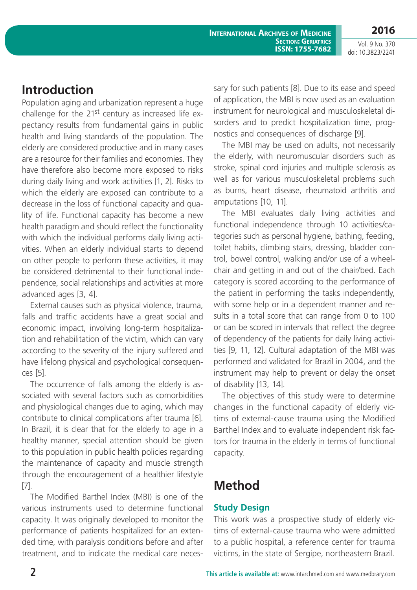**International Archives of Medicine SECTION: GERIATRICS ISSN: 1755-7682**

#### Vol. 9 No. 370 doi: 10.3823/2241

## **Introduction**

Population aging and urbanization represent a huge challenge for the  $21^{st}$  century as increased life expectancy results from fundamental gains in public health and living standards of the population. The elderly are considered productive and in many cases are a resource for their families and economies. They have therefore also become more exposed to risks during daily living and work activities [1, 2]. Risks to which the elderly are exposed can contribute to a decrease in the loss of functional capacity and quality of life. Functional capacity has become a new health paradigm and should reflect the functionality with which the individual performs daily living activities. When an elderly individual starts to depend on other people to perform these activities, it may be considered detrimental to their functional independence, social relationships and activities at more advanced ages [3, 4].

External causes such as physical violence, trauma, falls and traffic accidents have a great social and economic impact, involving long-term hospitalization and rehabilitation of the victim, which can vary according to the severity of the injury suffered and have lifelong physical and psychological consequences [5].

The occurrence of falls among the elderly is associated with several factors such as comorbidities and physiological changes due to aging, which may contribute to clinical complications after trauma [6]. In Brazil, it is clear that for the elderly to age in a healthy manner, special attention should be given to this population in public health policies regarding the maintenance of capacity and muscle strength through the encouragement of a healthier lifestyle [7].

The Modified Barthel Index (MBI) is one of the various instruments used to determine functional capacity. It was originally developed to monitor the performance of patients hospitalized for an extended time, with paralysis conditions before and after treatment, and to indicate the medical care necessary for such patients [8]. Due to its ease and speed of application, the MBI is now used as an evaluation instrument for neurological and musculoskeletal disorders and to predict hospitalization time, prognostics and consequences of discharge [9].

The MBI may be used on adults, not necessarily the elderly, with neuromuscular disorders such as stroke, spinal cord injuries and multiple sclerosis as well as for various musculoskeletal problems such as burns, heart disease, rheumatoid arthritis and amputations [10, 11].

The MBI evaluates daily living activities and functional independence through 10 activities/categories such as personal hygiene, bathing, feeding, toilet habits, climbing stairs, dressing, bladder control, bowel control, walking and/or use of a wheelchair and getting in and out of the chair/bed. Each category is scored according to the performance of the patient in performing the tasks independently, with some help or in a dependent manner and results in a total score that can range from 0 to 100 or can be scored in intervals that reflect the degree of dependency of the patients for daily living activities [9, 11, 12]. Cultural adaptation of the MBI was performed and validated for Brazil in 2004, and the instrument may help to prevent or delay the onset of disability [13, 14].

The objectives of this study were to determine changes in the functional capacity of elderly victims of external-cause trauma using the Modified Barthel Index and to evaluate independent risk factors for trauma in the elderly in terms of functional capacity.

## **Method**

### **Study Design**

This work was a prospective study of elderly victims of external-cause trauma who were admitted to a public hospital, a reference center for trauma victims, in the state of Sergipe, northeastern Brazil.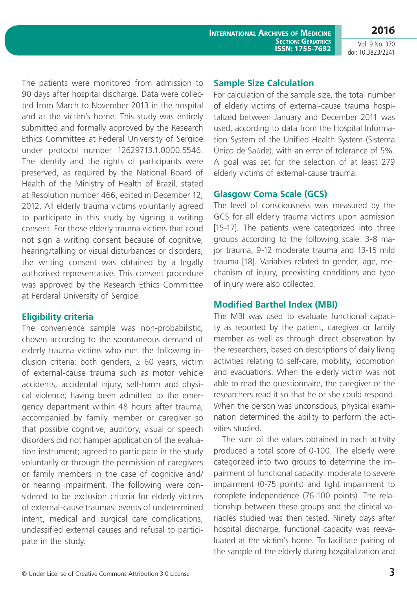Vol. 9 No. 370 doi: 10.3823/2241

The patients were monitored from admission to 90 days after hospital discharge. Data were collected from March to November 2013 in the hospital and at the victim's home. This study was entirely submitted and formally approved by the Research Ethics Committee at Federal University of Sergipe under protocol number 12629713.1.0000.5546. The identity and the rights of participants were preserved, as required by the National Board of Health of the Ministry of Health of Brazil, stated at Resolution number 466, edited in December 12, 2012. All elderly trauma victims voluntarily agreed to participate in this study by signing a writing consent. For those elderly trauma victims that coud not sign a writing consent because of cognitive, hearing/talking or visual disturbances or disorders, the writing consent was obtained by a legally authorised representative. This consent procedure was approved by the Research Ethics Committee at Ferderal University of Sergipe.

### **Eligibility criteria**

The convenience sample was non-probabilistic, chosen according to the spontaneous demand of elderly trauma victims who met the following inclusion criteria: both genders,  $\geq 60$  years, victim of external-cause trauma such as motor vehicle accidents, accidental injury, self-harm and physical violence; having been admitted to the emergency department within 48 hours after trauma; accompanied by family member or caregiver so that possible cognitive, auditory, visual or speech disorders did not hamper application of the evaluation instrument; agreed to participate in the study voluntarily or through the permission of caregivers or family members in the case of cognitive and/ or hearing impairment. The following were considered to be exclusion criteria for elderly victims of external-cause traumas: events of undetermined intent, medical and surgical care complications, unclassified external causes and refusal to participate in the study.

#### **Sample Size Calculation**

For calculation of the sample size, the total number of elderly victims of external-cause trauma hospitalized between January and December 2011 was used, according to data from the Hospital Information System of the Unified Health System (Sistema Único de Saúde), with an error of tolerance of 5%. A goal was set for the selection of at least 279 elderly victims of external-cause trauma.

### **Glasgow Coma Scale (GCS)**

The level of consciousness was measured by the GCS for all elderly trauma victims upon admission [15-17]. The patients were categorized into three groups according to the following scale: 3-8 major trauma, 9-12 moderate trauma and 13-15 mild trauma [18]. Variables related to gender, age, mechanism of injury, preexisting conditions and type of injury were also collected.

### **Modified Barthel Index (MBI)**

The MBI was used to evaluate functional capacity as reported by the patient, caregiver or family member as well as through direct observation by the researchers, based on descriptions of daily living activities relating to self-care, mobility, locomotion and evacuations. When the elderly victim was not able to read the questionnaire, the caregiver or the researchers read it so that he or she could respond. When the person was unconscious, physical examination determined the ability to perform the activities studied.

The sum of the values obtained in each activity produced a total score of 0-100. The elderly were categorized into two groups to determine the impairment of functional capacity: moderate to severe impairment (0-75 points) and light impairment to complete independence (76-100 points). The relationship between these groups and the clinical variables studied was then tested. Ninety days after hospital discharge, functional capacity was reevaluated at the victim's home. To facilitate pairing of the sample of the elderly during hospitalization and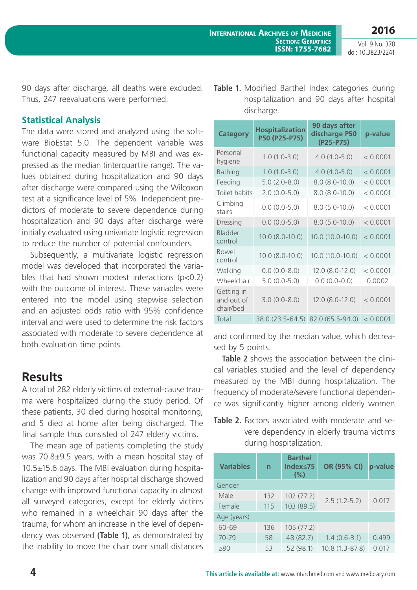**2016** Vol. 9 No. 370

doi: 10.3823/2241

90 days after discharge, all deaths were excluded. Thus, 247 reevaluations were performed.

#### **Statistical Analysis**

The data were stored and analyzed using the software BioEstat 5.0. The dependent variable was functional capacity measured by MBI and was expressed as the median (interquartile range). The values obtained during hospitalization and 90 days after discharge were compared using the Wilcoxon test at a significance level of 5%. Independent predictors of moderate to severe dependence during hospitalization and 90 days after discharge were initially evaluated using univariate logistic regression to reduce the number of potential confounders.

Subsequently, a multivariate logistic regression model was developed that incorporated the variables that had shown modest interactions  $(n<0.2)$ with the outcome of interest. These variables were entered into the model using stepwise selection and an adjusted odds ratio with 95% confidence interval and were used to determine the risk factors associated with moderate to severe dependence at both evaluation time points.

### **Results**

A total of 282 elderly victims of external-cause trauma were hospitalized during the study period. Of these patients, 30 died during hospital monitoring, and 5 died at home after being discharged. The final sample thus consisted of 247 elderly victims.

The mean age of patients completing the study was 70.8±9.5 years, with a mean hospital stay of 10.5±15.6 days. The MBI evaluation during hospitalization and 90 days after hospital discharge showed change with improved functional capacity in almost all surveyed categories, except for elderly victims who remained in a wheelchair 90 days after the trauma, for whom an increase in the level of dependency was observed **(Table 1)**, as demonstrated by the inability to move the chair over small distances

|  | <b>Table 1.</b> Modified Barthel Index categories during |
|--|----------------------------------------------------------|
|  | hospitalization and 90 days after hospital               |
|  | discharge.                                               |

| <b>Category</b>                       | <b>Hospitalization</b><br>P50 (P25-P75) | 90 days after<br>discharge P50<br>$(P25 - P75)$ | p-value  |
|---------------------------------------|-----------------------------------------|-------------------------------------------------|----------|
| Personal<br>hygiene                   | $1.0(1.0-3.0)$                          | $4.0(4.0 - 5.0)$                                | < 0.0001 |
| <b>Bathing</b>                        | $1.0(1.0-3.0)$                          | $4.0(4.0 - 5.0)$                                | < 0.0001 |
| Feeding                               | $5.0(2.0-8.0)$                          | $8.0 (8.0 - 10.0)$                              | < 0.0001 |
| Toilet habits                         | $2.0(0.0-5.0)$                          | $8.0 (8.0 - 10.0)$                              | < 0.0001 |
| Climbing<br>stairs                    | $0.0 (0.0 - 5.0)$                       | $8.0(5.0-10.0)$                                 | < 0.0001 |
| Dressing                              | $0.0 (0.0 - 5.0)$                       | $8.0(5.0 - 10.0)$                               | < 0.0001 |
| Bladder<br>control                    | $10.0 (8.0 - 10.0)$                     | 10.0 (10.0-10.0)                                | < 0.0001 |
| <b>Bowel</b><br>control               | $10.0 (8.0 - 10.0)$                     | 10.0 (10.0-10.0)                                | < 0.0001 |
| Walking                               | $0.0 (0.0 - 8.0)$                       | 12.0 (8.0-12.0)                                 | < 0.0001 |
| Wheelchair                            | $5.0(0.0-5.0)$                          | $0.0 (0.0 - 0.0)$                               | 0.0002   |
| Getting in<br>and out of<br>chair/bed | $3.0(0.0-8.0)$                          | $12.0 (8.0 - 12.0)$                             | < 0.0001 |
| Total                                 | 38.0 (23.5-64.5) 82.0 (65.5-94.0)       |                                                 | < 0.0001 |

and confirmed by the median value, which decreased by 5 points.

**Table 2** shows the association between the clinical variables studied and the level of dependency measured by the MBI during hospitalization. The frequency of moderate/severe functional dependence was significantly higher among elderly women

**Table 2.** Factors associated with moderate and severe dependency in elderly trauma victims during hospitalization.

| <b>Variables</b> | n   | <b>Barthel</b><br>Index≤75<br>(%) | OR (95% CI)      | p-value |  |  |
|------------------|-----|-----------------------------------|------------------|---------|--|--|
| Gender           |     |                                   |                  |         |  |  |
| Male             | 132 | 102(77.2)                         | $2.5(1.2-5.2)$   | 0.017   |  |  |
| Female           | 115 | 103 (89.5)                        |                  |         |  |  |
| Age (years)      |     |                                   |                  |         |  |  |
| 60-69            | 136 | 105(77.2)                         |                  |         |  |  |
| 70-79            | 58  | 48 (82.7)                         | $1.4(0.6 - 3.1)$ | 0.499   |  |  |
| $\geq 80$        | 53  | 52 (98.1)                         | 10.8 (1.3-87.8)  | 0.017   |  |  |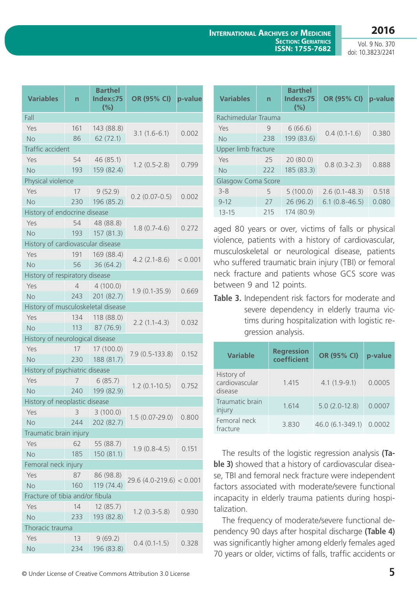Vol. 9 No. 370 doi: 10.3823/2241

| <b>Variables</b>                   | 'n             | <b>Barthel</b><br>Index <75<br>$(\% )$ | OR (95% CI)               | p-value |  |  |  |
|------------------------------------|----------------|----------------------------------------|---------------------------|---------|--|--|--|
| Fall                               |                |                                        |                           |         |  |  |  |
| Yes                                | 161            | 143 (88.8)                             | $3.1(1.6-6.1)$            |         |  |  |  |
| <b>No</b>                          | 86             | 62(72.1)                               |                           | 0.002   |  |  |  |
| Traffic accident                   |                |                                        |                           |         |  |  |  |
| Yes                                | 54             | 46 (85.1)                              | $1.2(0.5-2.8)$            | 0.799   |  |  |  |
| No                                 | 193            | 159 (82.4)                             |                           |         |  |  |  |
| Physical violence                  |                |                                        |                           |         |  |  |  |
| Yes                                | 17             | 9(52.9)                                |                           |         |  |  |  |
| <b>No</b>                          | 230            | 196 (85.2)                             | $0.2(0.07-0.5)$           | 0.002   |  |  |  |
| History of endocrine disease       |                |                                        |                           |         |  |  |  |
| Yes                                | 54             | 48 (88.8)                              |                           |         |  |  |  |
| <b>No</b>                          | 193            | 157 (81.3)                             | $1.8(0.7-4.6)$            | 0.272   |  |  |  |
| History of cardiovascular disease  |                |                                        |                           |         |  |  |  |
| Yes                                | 191            | 169 (88.4)                             |                           |         |  |  |  |
| <b>No</b>                          | 56             | 36(64.2)                               | $4.2(2.1-8.6)$            | < 0.001 |  |  |  |
| History of respiratory disease     |                |                                        |                           |         |  |  |  |
| Yes                                | $\overline{4}$ | 4(100.0)                               |                           |         |  |  |  |
| <b>No</b>                          | 243            | 201 (82.7)                             | $1.9(0.1 - 35.9)$         | 0.669   |  |  |  |
| History of musculoskeletal disease |                |                                        |                           |         |  |  |  |
| Yes                                | 134            | 118 (88.0)                             |                           |         |  |  |  |
| <b>No</b>                          | 113            | 87 (76.9)                              | $2.2(1.1-4.3)$            | 0.032   |  |  |  |
| History of neurological disease    |                |                                        |                           |         |  |  |  |
| Yes                                | 17             | 17 (100.0)                             |                           |         |  |  |  |
| <b>No</b>                          | 230            | 188 (81.7)                             | $7.9(0.5-133.8)$          | 0.152   |  |  |  |
| History of psychiatric disease     |                |                                        |                           |         |  |  |  |
| Yes                                | 7              | 6(85.7)                                |                           |         |  |  |  |
| <b>No</b>                          | 240            | 199 (82.9)                             | $1.2(0.1-10.5)$           | 0.752   |  |  |  |
| History of neoplastic disease      |                |                                        |                           |         |  |  |  |
| Yes                                | 3              | 3(100.0)                               |                           |         |  |  |  |
| <b>No</b>                          | 244            | 202 (82.7)                             | $1.5(0.07-29.0)$          | 0.800   |  |  |  |
| Traumatic brain injury             |                |                                        |                           |         |  |  |  |
| Yes                                | 62             | 55 (88.7)                              |                           |         |  |  |  |
| <b>No</b>                          | 185            | 150 (81.1)                             | $1.9(0.8-4.5)$            | 0.151   |  |  |  |
| Femoral neck injury                |                |                                        |                           |         |  |  |  |
| Yes                                | 87             | 86 (98.8)                              |                           |         |  |  |  |
| <b>No</b>                          | 160            | 119 (74.4)                             | $29.6(4.0-219.6) < 0.001$ |         |  |  |  |
| Fracture of tibia and/or fibula    |                |                                        |                           |         |  |  |  |
| Yes                                | 14             | 12 (85.7)                              |                           |         |  |  |  |
| <b>No</b>                          | 233            | 193 (82.8)                             | $1.2(0.3-5.8)$            | 0.930   |  |  |  |
| Thoracic trauma                    |                |                                        |                           |         |  |  |  |
| Yes                                | 13             | 9(69.2)                                |                           |         |  |  |  |
| No                                 | 234            | 196 (83.8)                             | $0.4(0.1-1.5)$            | 0.328   |  |  |  |

| <b>Variables</b>          | n   | <b>Barthel</b><br>$Index<$ 75<br>(%) | OR (95% CI)     | p-value |  |  |
|---------------------------|-----|--------------------------------------|-----------------|---------|--|--|
| Rachimedular Trauma       |     |                                      |                 |         |  |  |
| Yes                       | 9   | 6(66.6)                              |                 |         |  |  |
| No                        | 238 | 199 (83.6)                           | $0.4(0.1-1.6)$  | 0.380   |  |  |
| Upper limb fracture       |     |                                      |                 |         |  |  |
| Yes                       | 25  | 20 (80.0)                            |                 | 0.888   |  |  |
| <b>No</b>                 | 222 | 185 (83.3)                           | $0.8(0.3-2.3)$  |         |  |  |
| <b>Glasgow Coma Score</b> |     |                                      |                 |         |  |  |
| $3 - 8$                   | 5   | 5(100.0)                             | $2.6(0.1-48.3)$ | 0.518   |  |  |
| $9 - 12$                  | 27  | 26 (96.2)                            | $6.1(0.8-46.5)$ | 0.080   |  |  |
| $13 - 15$                 | 215 | 174 (80.9)                           |                 |         |  |  |

aged 80 years or over, victims of falls or physical violence, patients with a history of cardiovascular, musculoskeletal or neurological disease, patients who suffered traumatic brain injury (TBI) or femoral neck fracture and patients whose GCS score was between 9 and 12 points.

**Table 3.** Independent risk factors for moderate and severe dependency in elderly trauma victims during hospitalization with logistic regression analysis.

| <b>Variable</b>                         | <b>Regression</b><br>coefficient | OR (95% CI)      | p-value |
|-----------------------------------------|----------------------------------|------------------|---------|
| History of<br>cardiovascular<br>disease | 1.415                            | $4.1(1.9-9.1)$   | 0.0005  |
| Traumatic brain<br>injury               | 1.614                            | $5.0(2.0-12.8)$  | 0.0007  |
| Femoral neck<br>fracture                | 3.830                            | 46.0 (6.1-349.1) | 0.0002  |

The results of the logistic regression analysis **(Table 3)** showed that a history of cardiovascular disease, TBI and femoral neck fracture were independent factors associated with moderate/severe functional incapacity in elderly trauma patients during hospitalization.

The frequency of moderate/severe functional dependency 90 days after hospital discharge **(Table 4)**  was significantly higher among elderly females aged 70 years or older, victims of falls, traffic accidents or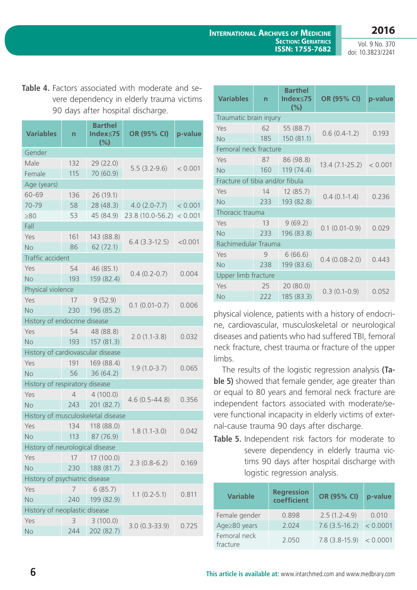Vol. 9 No. 370 doi: 10.3823/2241

**Table 4.** Factors associated with moderate and severe dependency in elderly trauma victims 90 days after hospital discharge.

| <b>Variables</b>                   | n              | <b>Barthel</b><br>Index≤75<br>(%) | OR (95% CI)       | p-value |  |  |  |
|------------------------------------|----------------|-----------------------------------|-------------------|---------|--|--|--|
| Gender                             |                |                                   |                   |         |  |  |  |
| Male                               | 132            | 29 (22.0)                         |                   |         |  |  |  |
| Female                             | 115            | 70 (60.9)                         | $5.5(3.2-9.6)$    | < 0.001 |  |  |  |
| Age (years)                        |                |                                   |                   |         |  |  |  |
| 60-69                              | 136            | 26 (19.1)                         |                   |         |  |  |  |
| 70-79                              | 58             | 28 (48.3)                         | $4.0(2.0 - 7.7)$  | < 0.001 |  |  |  |
| $\geq 80$                          | 53             | 45 (84.9)                         | 23.8 (10.0-56.2)  | < 0.001 |  |  |  |
| Fall                               |                |                                   |                   |         |  |  |  |
| Yes                                | 161            | 143 (88.8)                        |                   |         |  |  |  |
| <b>No</b>                          | 86             | 62(72.1)                          | $6.4(3.3-12.5)$   | < 0.001 |  |  |  |
| Traffic accident                   |                |                                   |                   |         |  |  |  |
| Yes                                | 54             | 46 (85.1)                         | $0.4(0.2-0.7)$    | 0.004   |  |  |  |
| No                                 | 193            | 159 (82.4)                        |                   |         |  |  |  |
| Physical violence                  |                |                                   |                   |         |  |  |  |
| Yes                                | 17             | 9(52.9)                           | $0.1(0.01-0.7)$   | 0.006   |  |  |  |
| <b>No</b>                          | 230            | 196 (85.2)                        |                   |         |  |  |  |
| History of endocrine disease       |                |                                   |                   |         |  |  |  |
| Yes                                | 54             | 48 (88.8)                         | $2.0(1.1-3.8)$    | 0.032   |  |  |  |
| <b>No</b>                          | 193            | 157 (81.3)                        |                   |         |  |  |  |
| History of cardiovascular disease  |                |                                   |                   |         |  |  |  |
| Yes                                | 191            | 169 (88.4)                        | $1.9(1.0-3.7)$    | 0.065   |  |  |  |
| <b>No</b>                          | 56             | 36(64.2)                          |                   |         |  |  |  |
| History of respiratory disease     |                |                                   |                   |         |  |  |  |
| Yes                                | $\overline{4}$ | 4(100.0)                          | $4.6(0.5 - 44.8)$ | 0.356   |  |  |  |
| <b>No</b>                          | 243            | 201 (82.7)                        |                   |         |  |  |  |
| History of musculoskeletal disease |                |                                   |                   |         |  |  |  |
| Yes                                | 134            | 118 (88.0)                        | $1.8(1.1-3.0)$    | 0.042   |  |  |  |
| No                                 | 113            | 87 (76.9)                         |                   |         |  |  |  |
| History of neurological disease    |                |                                   |                   |         |  |  |  |
| Yes                                | 17             | 17 (100.0)                        | $2.3(0.8-6.2)$    | 0.169   |  |  |  |
| No                                 | 230            | 188 (81.7)                        |                   |         |  |  |  |
| History of psychiatric disease     |                |                                   |                   |         |  |  |  |
| Yes                                | 7              | 6(85.7)                           | $1.1(0.2-5.1)$    | 0.811   |  |  |  |
| No                                 | 240            | 199 (82.9)                        |                   |         |  |  |  |
| History of neoplastic disease      |                |                                   |                   |         |  |  |  |
| Yes                                | 3              | 3(100.0)                          | $3.0(0.3 - 33.9)$ | 0.725   |  |  |  |
| No                                 | 244            | 202 (82.7)                        |                   |         |  |  |  |

| <b>Variables</b>                | 'n                     | <b>Barthel</b><br>Index≤75<br>$(\% )$ | OR (95% CI)        | p-value |  |  |  |  |
|---------------------------------|------------------------|---------------------------------------|--------------------|---------|--|--|--|--|
|                                 | Traumatic brain injury |                                       |                    |         |  |  |  |  |
| Yes                             | 62                     | 55 (88.7)                             | $0.6(0.4-1.2)$     | 0.193   |  |  |  |  |
| <b>No</b>                       | 185                    | 150 (81.1)                            |                    |         |  |  |  |  |
| Femoral neck fracture           |                        |                                       |                    |         |  |  |  |  |
| Yes                             | 87                     | 86 (98.8)                             | $13.4(7.1 - 25.2)$ | < 0.001 |  |  |  |  |
| <b>No</b>                       | 160                    | 119 (74.4)                            |                    |         |  |  |  |  |
| Fracture of tibia and/or fibula |                        |                                       |                    |         |  |  |  |  |
| Yes                             | 14                     | 12(85.7)                              | $0.4(0.1-1.4)$     | 0.236   |  |  |  |  |
| No                              | 233                    | 193 (82.8)                            |                    |         |  |  |  |  |
| Thoracic trauma                 |                        |                                       |                    |         |  |  |  |  |
| Yes                             | 13                     | 9(69.2)                               | $0.1(0.01-0.9)$    | 0.029   |  |  |  |  |
| No                              | 233                    | 196 (83.8)                            |                    |         |  |  |  |  |
| Rachimedular Trauma             |                        |                                       |                    |         |  |  |  |  |
| Yes                             | 9                      | 6(66.6)                               | $0.4(0.08-2.0)$    | 0.443   |  |  |  |  |
| No                              | 238                    | 199 (83.6)                            |                    |         |  |  |  |  |
| Upper limb fracture             |                        |                                       |                    |         |  |  |  |  |
| Yes                             | 25                     | 20 (80.0)                             | $0.3(0.1-0.9)$     |         |  |  |  |  |
| <b>No</b>                       | 222                    | 185 (83.3)                            |                    | 0.052   |  |  |  |  |

physical violence, patients with a history of endocrine, cardiovascular, musculoskeletal or neurological diseases and patients who had suffered TBI, femoral neck fracture, chest trauma or fracture of the upper limbs.

The results of the logistic regression analysis **(Table 5)** showed that female gender, age greater than or equal to 80 years and femoral neck fracture are independent factors associated with moderate/severe functional incapacity in elderly victims of external-cause trauma 90 days after discharge.

**Table 5.** Independent risk factors for moderate to severe dependency in elderly trauma victims 90 days after hospital discharge with logistic regression analysis.

| <b>Variable</b>          | <b>Regression</b><br>coefficient | OR (95% CI)              | p-value  |
|--------------------------|----------------------------------|--------------------------|----------|
| Female gender            | 0.898                            | $2.5(1.2-4.9)$           | 0.010    |
| Age≥80 years             | 2.024                            | $7.6(3.5-16.2)$          | < 0.0001 |
| Femoral neck<br>fracture | 2.050                            | $7.8(3.8-15.9) < 0.0001$ |          |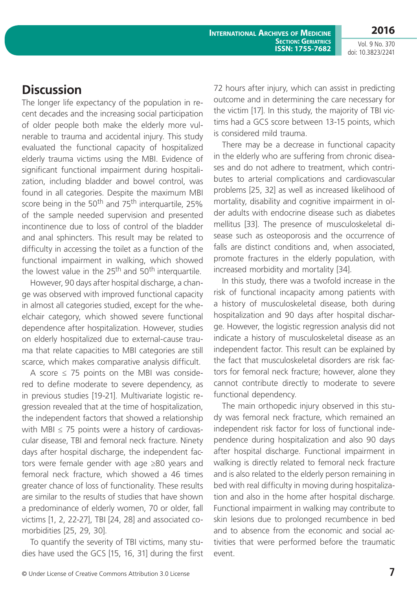Vol. 9 No. 370 doi: 10.3823/2241

## **Discussion**

The longer life expectancy of the population in recent decades and the increasing social participation of older people both make the elderly more vulnerable to trauma and accidental injury. This study evaluated the functional capacity of hospitalized elderly trauma victims using the MBI. Evidence of significant functional impairment during hospitalization, including bladder and bowel control, was found in all categories. Despite the maximum MBI score being in the 50<sup>th</sup> and 75<sup>th</sup> interguartile, 25% of the sample needed supervision and presented incontinence due to loss of control of the bladder and anal sphincters. This result may be related to difficulty in accessing the toilet as a function of the functional impairment in walking, which showed the lowest value in the  $25<sup>th</sup>$  and  $50<sup>th</sup>$  interquartile.

However, 90 days after hospital discharge, a change was observed with improved functional capacity in almost all categories studied, except for the wheelchair category, which showed severe functional dependence after hospitalization. However, studies on elderly hospitalized due to external-cause trauma that relate capacities to MBI categories are still scarce, which makes comparative analysis difficult.

A score  $\leq$  75 points on the MBI was considered to define moderate to severe dependency, as in previous studies [19-21]. Multivariate logistic regression revealed that at the time of hospitalization, the independent factors that showed a relationship with MBI  $\leq$  75 points were a history of cardiovascular disease, TBI and femoral neck fracture. Ninety days after hospital discharge, the independent factors were female gender with age ≥80 years and femoral neck fracture, which showed a 46 times greater chance of loss of functionality. These results are similar to the results of studies that have shown a predominance of elderly women, 70 or older, fall victims [1, 2, 22-27], TBI [24, 28] and associated comorbidities [25, 29, 30].

To quantify the severity of TBI victims, many studies have used the GCS [15, 16, 31] during the first 72 hours after injury, which can assist in predicting outcome and in determining the care necessary for the victim [17]. In this study, the majority of TBI victims had a GCS score between 13-15 points, which is considered mild trauma.

There may be a decrease in functional capacity in the elderly who are suffering from chronic diseases and do not adhere to treatment, which contributes to arterial complications and cardiovascular problems [25, 32] as well as increased likelihood of mortality, disability and cognitive impairment in older adults with endocrine disease such as diabetes mellitus [33]. The presence of musculoskeletal disease such as osteoporosis and the occurrence of falls are distinct conditions and, when associated, promote fractures in the elderly population, with increased morbidity and mortality [34].

In this study, there was a twofold increase in the risk of functional incapacity among patients with a history of musculoskeletal disease, both during hospitalization and 90 days after hospital discharge. However, the logistic regression analysis did not indicate a history of musculoskeletal disease as an independent factor. This result can be explained by the fact that musculoskeletal disorders are risk factors for femoral neck fracture; however, alone they cannot contribute directly to moderate to severe functional dependency.

The main orthopedic injury observed in this study was femoral neck fracture, which remained an independent risk factor for loss of functional independence during hospitalization and also 90 days after hospital discharge. Functional impairment in walking is directly related to femoral neck fracture and is also related to the elderly person remaining in bed with real difficulty in moving during hospitalization and also in the home after hospital discharge. Functional impairment in walking may contribute to skin lesions due to prolonged recumbence in bed and to absence from the economic and social activities that were performed before the traumatic event.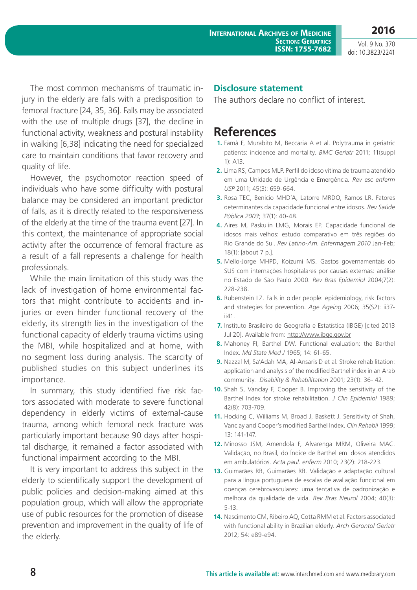Vol. 9 No. 370 doi: 10.3823/2241

The most common mechanisms of traumatic injury in the elderly are falls with a predisposition to femoral fracture [24, 35, 36]. Falls may be associated with the use of multiple drugs [37], the decline in functional activity, weakness and postural instability in walking [6,38] indicating the need for specialized care to maintain conditions that favor recovery and quality of life.

However, the psychomotor reaction speed of individuals who have some difficulty with postural balance may be considered an important predictor of falls, as it is directly related to the responsiveness of the elderly at the time of the trauma event [27]. In this context, the maintenance of appropriate social activity after the occurrence of femoral fracture as a result of a fall represents a challenge for health professionals.

While the main limitation of this study was the lack of investigation of home environmental factors that might contribute to accidents and injuries or even hinder functional recovery of the elderly, its strength lies in the investigation of the functional capacity of elderly trauma victims using the MBI, while hospitalized and at home, with no segment loss during analysis. The scarcity of published studies on this subject underlines its importance.

In summary, this study identified five risk factors associated with moderate to severe functional dependency in elderly victims of external-cause trauma, among which femoral neck fracture was particularly important because 90 days after hospital discharge, it remained a factor associated with functional impairment according to the MBI.

It is very important to address this subject in the elderly to scientifically support the development of public policies and decision-making aimed at this population group, which will allow the appropriate use of public resources for the promotion of disease prevention and improvement in the quality of life of the elderly.

#### **Disclosure statement**

The authors declare no conflict of interest.

### **References**

- **1.** Famà F, Murabito M, Beccaria A et al. Polytrauma in geriatric patients: incidence and mortality. *BMC Geriatr* 2011; 11(suppl 1): A13.
- **2.** Lima RS, Campos MLP. Perfil do idoso vítima de trauma atendido em uma Unidade de Urgência e Emergência*. Rev esc enferm USP* 2011; 45(3): 659-664.
- **3.** Rosa TEC, Benicio MHD'A, Latorre MRDO, Ramos LR. Fatores determinantes da capacidade funcional entre idosos. *Rev Saúde Pública 2003*; 37(1): 40-48.
- **4.** Aires M, Paskulin LMG, Morais EP. Capacidade funcional de idosos mais velhos: estudo comparativo em três regiões do Rio Grande do Sul. *Rev Latino-Am. Enfermagem 2010* Jan-Feb; 18(1): [about 7 p.].
- **5.** Mello-Jorge MHPD, Koizumi MS. Gastos governamentais do SUS com internações hospitalares por causas externas: análise no Estado de São Paulo 2000. *Rev Bras Epidemiol* 2004;7(2): 228-238.
- **6.** Rubenstein LZ. Falls in older people: epidemiology, risk factors and strategies for prevention. *Age Ageing* 2006; 35(S2): ii37 ii41.
- **7.** Instituto Brasileiro de Geografia e Estatística (IBGE) [cited 2013 Jul 20]. Available from: [http://www.ibge.gov.br](http://www.ibge.gov.br/home/estatistica/populacao/projecao_da_populacao/2013/default_tab.shtm)
- **8.** Mahoney FI, Barthel DW. Functional evaluation: the Barthel Index. *Md State Med J* 1965; 14: 61-65.
- **9.** Nazzal M, Sa'Adah MA, Al-Ansaris D et al. Stroke rehabilitation: application and analysis of the modified Barthel index in an Arab community. *Disability & Rehabilitation* 2001; 23(1): 36- 42.
- **10.** Shah S, Vanclay F, Cooper B. Improving the sensitivity of the Barthel Index for stroke rehabilitation. *J Clin Epidemiol* 1989; 42(8): 703-709.
- **11.** Hocking C, Williams M, Broad J, Baskett J. Sensitivity of Shah, Vanclay and Cooper's modified Barthel Index. *Clin Rehabil* 1999; 13: 141-147.
- **12.** Minosso JSM, Amendola F, Alvarenga MRM, Oliveira MAC. Validação, no Brasil, do Índice de Barthel em idosos atendidos em ambulatórios. *Acta paul. enferm* 2010; 23(2): 218-223.
- **13.** Guimarães RB, Guimarães RB. Validação e adaptação cultural para a língua portuguesa de escalas de avaliação funcional em doenças cerebrovasculares: uma tentativa de padronização e melhora da qualidade de vida. *Rev Bras Neurol* 2004; 40(3): 5-13.
- **14.** Nascimento CM, Ribeiro AQ, Cotta RMM et al. Factors associated with functional ability in Brazilian elderly. *Arch Gerontol Geriatr* 2012; 54: e89-e94.